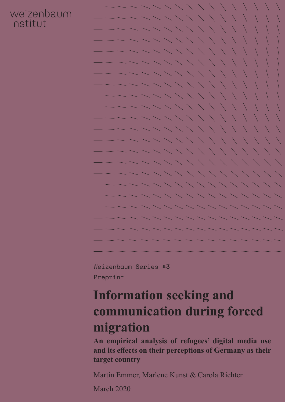### weizenbaum institut



Weizenbaum Series #3 Preprint

## **Information seeking and communication during forced migration**

**An empirical analysis of refugees' digital media use and its effects on their perceptions of Germany as their target country**

Martin Emmer, Marlene Kunst & Carola Richter

March 2020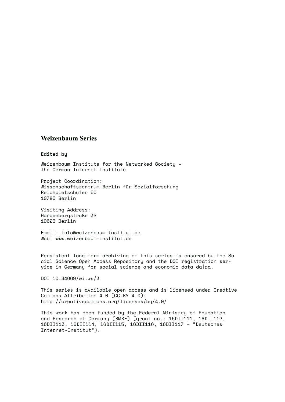#### **Weizenbaum Series**

#### **Edited by**

Weizenbaum Institute for the Networked Society – The German Internet Institute

Project Coordination: Wissenschaftszentrum Berlin für Sozialforschung Reichpietschufer 50 10785 Berlin

Visiting Address: Hardenbergstraße 32 10623 Berlin

Email: info@weizenbaum-institut.de Web: www.weizenbaum-institut.de

Persistent long-term archiving of this series is ensured by the Social Science Open Access Repository and the DOI registration service in Germany for social science and economic data da  $ra$ .

DOI [10.34669/wi.ws/3](http://dx.doi.org/10.34669/wi.ws/3)

This series is available open access and is licensed under Creative Commons Attribution 4.0 (CC-BY 4.0): http://creativecommons.org/licenses/by/4.0/

This work has been funded by the Federal Ministry of Education and Research of Germany (BMBF) (grant no.: 16DII111, 16DII112, 16DII113, 16DII114, 16DII115, 16DII116, 16DII117 – "Deutsches Internet-Institut").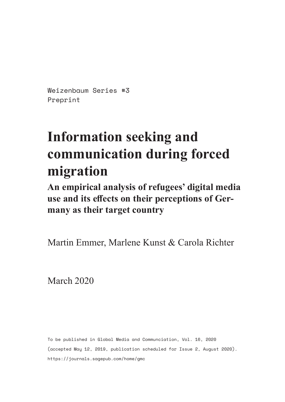Weizenbaum Series #3 Preprint

# **Information seeking and communication during forced migration**

**An empirical analysis of refugees' digital media use and its effects on their perceptions of Germany as their target country**

Martin Emmer, Marlene Kunst & Carola Richter

March 2020

To be published in Global Media and Communciation, Vol. 16, 2020 (accepted May 12, 2019, publication scheduled for Issue 2, August 2020). <https://journals.sagepub.com/home/gmc>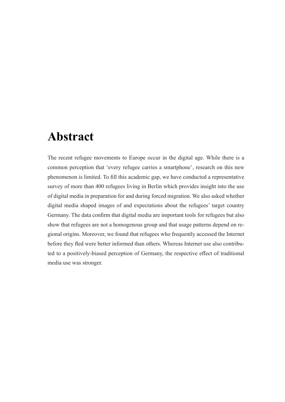### **Abstract**

The recent refugee movements to Europe occur in the digital age. While there is a common perception that 'every refugee carries a smartphone', research on this new phenomenon is limited. To fill this academic gap, we have conducted a representative survey of more than 400 refugees living in Berlin which provides insight into the use of digital media in preparation for and during forced migration. We also asked whether digital media shaped images of and expectations about the refugees' target country Germany. The data confirm that digital media are important tools for refugees but also show that refugees are not a homogenous group and that usage patterns depend on regional origins. Moreover, we found that refugees who frequently accessed the Internet before they fled were better informed than others. Whereas Internet use also contributed to a positively-biased perception of Germany, the respective effect of traditional media use was stronger.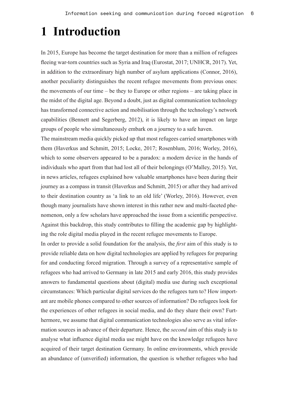## **1 Introduction**

In 2015, Europe has become the target destination for more than a million of refugees fleeing war-torn countries such as Syria and Iraq (Eurostat, 2017; UNHCR, 2017). Yet, in addition to the extraordinary high number of asylum applications (Connor, 2016), another peculiarity distinguishes the recent refugee movements from previous ones: the movements of our time – be they to Europe or other regions – are taking place in the midst of the digital age. Beyond a doubt, just as digital communication technology has transformed connective action and mobilisation through the technology's network capabilities (Bennett and Segerberg, 2012), it is likely to have an impact on large groups of people who simultaneously embark on a journey to a safe haven.

The mainstream media quickly picked up that most refugees carried smartphones with them (Haverkus and Schmitt, 2015; Locke, 2017; Rosenblum, 2016; Worley, 2016), which to some observers appeared to be a paradox: a modern device in the hands of individuals who apart from that had lost all of their belongings (O'Malley, 2015). Yet, in news articles, refugees explained how valuable smartphones have been during their journey as a compass in transit (Haverkus and Schmitt, 2015) or after they had arrived to their destination country as 'a link to an old life' (Worley, 2016). However, even though many journalists have shown interest in this rather new and multi-faceted phenomenon, only a few scholars have approached the issue from a scientific perspective. Against this backdrop, this study contributes to filling the academic gap by highlighting the role digital media played in the recent refugee movements to Europe.

In order to provide a solid foundation for the analysis, the *first* aim of this study is to provide reliable data on how digital technologies are applied by refugees for preparing for and conducting forced migration. Through a survey of a representative sample of refugees who had arrived to Germany in late 2015 and early 2016, this study provides answers to fundamental questions about (digital) media use during such exceptional circumstances: Which particular digital services do the refugees turn to? How important are mobile phones compared to other sources of information? Do refugees look for the experiences of other refugees in social media, and do they share their own? Furthermore, we assume that digital communication technologies also serve as vital information sources in advance of their departure. Hence, the *second* aim of this study is to analyse what influence digital media use might have on the knowledge refugees have acquired of their target destination Germany. In online environments, which provide an abundance of (unverified) information, the question is whether refugees who had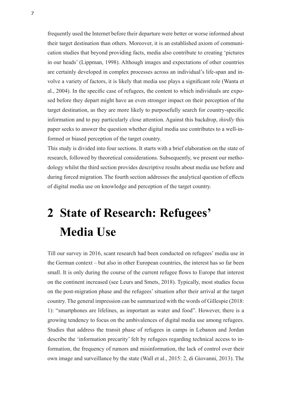frequently used the Internet before their departure were better or worse informed about their target destination than others. Moreover, it is an established axiom of communication studies that beyond providing facts, media also contribute to creating 'pictures in our heads' (Lippman, 1998). Although images and expectations of other countries are certainly developed in complex processes across an individual's life-span and involve a variety of factors, it is likely that media use plays a significant role (Wanta et al., 2004). In the specific case of refugees, the content to which individuals are exposed before they depart might have an even stronger impact on their perception of the target destination, as they are more likely to purposefully search for country-specific information and to pay particularly close attention. Against this backdrop, *thirdly* this paper seeks to answer the question whether digital media use contributes to a well-informed or biased perception of the target country.

This study is divided into four sections. It starts with a brief elaboration on the state of research, followed by theoretical considerations. Subsequently, we present our methodology whilst the third section provides descriptive results about media use before and during forced migration. The fourth section addresses the analytical question of effects of digital media use on knowledge and perception of the target country.

## **2 State of Research: Refugees' Media Use**

Till our survey in 2016, scant research had been conducted on refugees' media use in the German context – but also in other European countries, the interest has so far been small. It is only during the course of the current refugee flows to Europe that interest on the continent increased (see Leurs and Smets, 2018). Typically, most studies focus on the post-migration phase and the refugees' situation after their arrival at the target country. The general impression can be summarized with the words of Gillespie (2018: 1): "smartphones are lifelines, as important as water and food". However, there is a growing tendency to focus on the ambivalences of digital media use among refugees. Studies that address the transit phase of refugees in camps in Lebanon and Jordan describe the 'information precarity' felt by refugees regarding technical access to information, the frequency of rumors and misinformation, the lack of control over their own image and surveillance by the state (Wall et al., 2015: 2, di Giovanni, 2013). The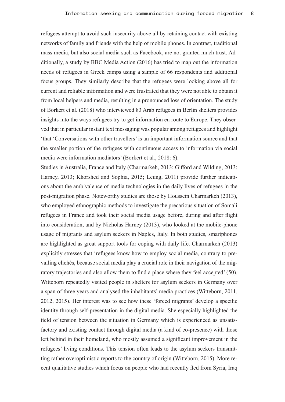refugees attempt to avoid such insecurity above all by retaining contact with existing networks of family and friends with the help of mobile phones. In contrast, traditional mass media, but also social media such as Facebook, are not granted much trust. Additionally, a study by BBC Media Action (2016) has tried to map out the information needs of refugees in Greek camps using a sample of 66 respondents and additional focus groups. They similarly describe that the refugees were looking above all for current and reliable information and were frustrated that they were not able to obtain it from local helpers and media, resulting in a pronounced loss of orientation. The study of Borkert et al. (2018) who interviewed 83 Arab refugees in Berlin shelters provides insights into the ways refugees try to get information en route to Europe. They observed that in particular instant text messaging was popular among refugees and highlight 'that 'Conversations with other travellers' is an important information source and that the smaller portion of the refugees with continuous access to information via social media were information mediators' (Borkert et al., 2018: 6).

Studies in Australia, France and Italy (Charmarkeh, 2013; Gifford and Wilding, 2013; Harney, 2013; Khorshed and Sophia, 2015; Leung, 2011) provide further indications about the ambivalence of media technologies in the daily lives of refugees in the post-migration phase. Noteworthy studies are those by Houssein Charmarkeh (2013), who employed ethnographic methods to investigate the precarious situation of Somali refugees in France and took their social media usage before, during and after flight into consideration, and by Nicholas Harney (2013), who looked at the mobile-phone usage of migrants and asylum seekers in Naples, Italy. In both studies, smartphones are highlighted as great support tools for coping with daily life. Charmarkeh (2013) explicitly stresses that 'refugees know how to employ social media, contrary to prevailing clichés, because social media play a crucial role in their navigation of the migratory trajectories and also allow them to find a place where they feel accepted' (50). Witteborn repeatedly visited people in shelters for asylum seekers in Germany over a span of three years and analysed the inhabitants' media practices (Witteborn, 2011, 2012, 2015). Her interest was to see how these 'forced migrants' develop a specific identity through self-presentation in the digital media. She especially highlighted the field of tension between the situation in Germany which is experienced as unsatisfactory and existing contact through digital media (a kind of co-presence) with those left behind in their homeland, who mostly assumed a significant improvement in the refugees' living conditions. This tension often leads to the asylum seekers transmitting rather overoptimistic reports to the country of origin (Witteborn, 2015). More recent qualitative studies which focus on people who had recently fled from Syria, Iraq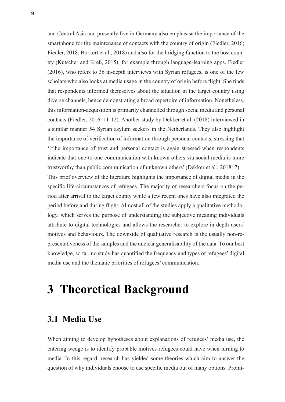and Central Asia and presently live in Germany also emphasise the importance of the smartphone for the maintenance of contacts with the country of origin (Fiedler, 2016; Fiedler, 2018; Borkert et al., 2018) and also for the bridging function to the host country (Kutscher and Kreß, 2015), for example through language-learning apps. Fiedler (2016), who refers to 36 in-depth interviews with Syrian refugees, is one of the few scholars who also looks at media usage in the country of origin before flight. She finds that respondents informed themselves about the situation in the target country using diverse channels, hence demonstrating a broad repertoire of information. Nonetheless, this information-acquisition is primarily channelled through social media and personal contacts (Fiedler, 2016: 11-12). Another study by Dekker et al. (2018) interviewed in a similar manner 54 Syrian asylum seekers in the Netherlands. They also highlight the importance of verification of information through personal contacts, stressing that '[t]he importance of trust and personal contact is again stressed when respondents indicate that one-to-one communication with known others via social media is more trustworthy than public communication of unknown others' (Dekker et al., 2018: 7). This brief overview of the literature highlights the importance of digital media in the specific life-circumstances of refugees. The majority of researchers focus on the period after arrival to the target county while a few recent ones have also integrated the period before and during flight. Almost all of the studies apply a qualitative methodology, which serves the purpose of understanding the subjective meaning individuals attribute to digital technologies and allows the researcher to explore in-depth users' motives and behaviours. The downside of qualitative research is the usually non-representativeness of the samples and the unclear generalisability of the data. To our best knowledge, so far, no study has quantified the frequency and types of refugees' digital media use and the thematic priorities of refugees' communication.

### **3 Theoretical Background**

#### **3.1 Media Use**

When aiming to develop hypotheses about explanations of refugees' media use, the entering wedge is to identify probable motives refugees could have when turning to media. In this regard, research has yielded some theories which aim to answer the question of why individuals choose to use specific media out of many options. Promi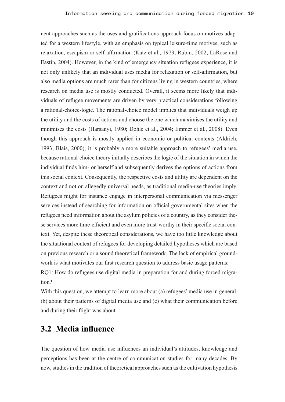nent approaches such as the uses and gratifications approach focus on motives adapted for a western lifestyle, with an emphasis on typical leisure-time motives, such as relaxation, escapism or self-affirmation (Katz et al., 1973; Rubin, 2002; LaRose and Eastin, 2004). However, in the kind of emergency situation refugees experience, it is not only unlikely that an individual uses media for relaxation or self-affirmation, but also media options are much rarer than for citizens living in western countries, where research on media use is mostly conducted. Overall, it seems more likely that individuals of refugee movements are driven by very practical considerations following a rational-choice-logic. The rational-choice model implies that individuals weigh up the utility and the costs of actions and choose the one which maximises the utility and minimises the costs (Harsanyi, 1980; Dohle et al., 2004; Emmer et al., 2008). Even though this approach is mostly applied in economic or political contexts (Aldrich, 1993; Blais, 2000), it is probably a more suitable approach to refugees' media use, because rational-choice theory initially describes the logic of the situation in which the individual finds him- or herself and subsequently derives the options of actions from this social context. Consequently, the respective costs and utility are dependent on the context and not on allegedly universal needs, as traditional media-use theories imply. Refugees might for instance engage in interpersonal communication via messenger services instead of searching for information on official governmental sites when the refugees need information about the asylum policies of a country, as they consider these services more time-efficient and even more trust-worthy in their specific social context. Yet, despite these theoretical considerations, we have too little knowledge about the situational context of refugees for developing detailed hypotheses which are based on previous research or a sound theoretical framework. The lack of empirical groundwork is what motivates our first research question to address basic usage patterns: RQ1: How do refugees use digital media in preparation for and during forced migration?

With this question, we attempt to learn more about (a) refugees' media use in general, (b) about their patterns of digital media use and (c) what their communication before and during their flight was about.

#### **3.2 Media influence**

The question of how media use influences an individual's attitudes, knowledge and perceptions has been at the centre of communication studies for many decades. By now, studies in the tradition of theoretical approaches such as the cultivation hypothesis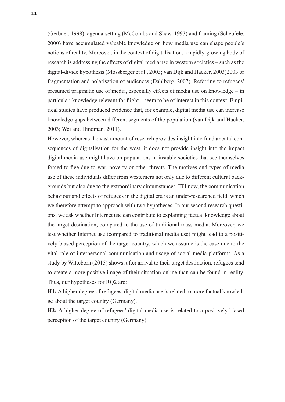(Gerbner, 1998), agenda-setting (McCombs and Shaw, 1993) and framing (Scheufele, 2000) have accumulated valuable knowledge on how media use can shape people's notions of reality. Moreover, in the context of digitalisation, a rapidly-growing body of research is addressing the effects of digital media use in western societies – such as the digital-divide hypothesis (Mossberger et al., 2003; van Dijk and Hacker, 2003)2003 or fragmentation and polarisation of audiences (Dahlberg, 2007). Referring to refugees' presumed pragmatic use of media, especially effects of media use on knowledge – in particular, knowledge relevant for flight – seem to be of interest in this context. Empirical studies have produced evidence that, for example, digital media use can increase knowledge-gaps between different segments of the population (van Dijk and Hacker, 2003; Wei and Hindman, 2011).

However, whereas the vast amount of research provides insight into fundamental consequences of digitalisation for the west, it does not provide insight into the impact digital media use might have on populations in instable societies that see themselves forced to flee due to war, poverty or other threats. The motives and types of media use of these individuals differ from westerners not only due to different cultural backgrounds but also due to the extraordinary circumstances. Till now, the communication behaviour and effects of refugees in the digital era is an under-researched field, which we therefore attempt to approach with two hypotheses. In our second research questions, we ask whether Internet use can contribute to explaining factual knowledge about the target destination, compared to the use of traditional mass media. Moreover, we test whether Internet use (compared to traditional media use) might lead to a positively-biased perception of the target country, which we assume is the case due to the vital role of interpersonal communication and usage of social-media platforms. As a study by Witteborn (2015) shows, after arrival to their target destination, refugees tend to create a more positive image of their situation online than can be found in reality. Thus, our hypotheses for RQ2 are:

**H1:** A higher degree of refugees' digital media use is related to more factual knowledge about the target country (Germany).

**H2:** A higher degree of refugees' digital media use is related to a positively-biased perception of the target country (Germany).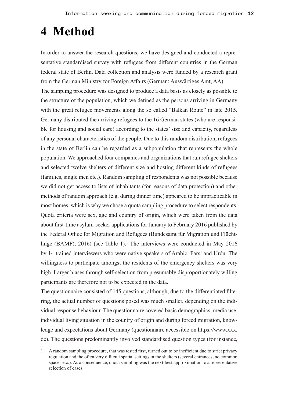### **4 Method**

In order to answer the research questions, we have designed and conducted a representative standardised survey with refugees from different countries in the German federal state of Berlin. Data collection and analysis were funded by a research grant from the German Ministry for Foreign Affairs (German: Auswärtiges Amt, AA). The sampling procedure was designed to produce a data basis as closely as possible to the structure of the population, which we defined as the persons arriving in Germany with the great refugee movements along the so called "Balkan Route" in late 2015. Germany distributed the arriving refugees to the 16 German states (who are responsible for housing and social care) according to the states' size and capacity, regardless of any personal characteristics of the people. Due to this random distribution, refugees in the state of Berlin can be regarded as a subpopulation that represents the whole population. We approached four companies and organizations that run refugee shelters and selected twelve shelters of different size and hosting different kinds of refugees (families, single men etc.). Random sampling of respondents was not possible because we did not get access to lists of inhabitants (for reasons of data protection) and other methods of random approach (e.g. during dinner time) appeared to be impracticable in most homes, which is why we chose a quota sampling procedure to select respondents. Quota criteria were sex, age and country of origin, which were taken from the data about first-time asylum-seeker applications for January to February 2016 published by the Federal Office for Migration and Refugees (Bundesamt für Migration und Flüchtlinge (BAMF), 2016) (see Table 1).<sup>1</sup> The interviews were conducted in May 2016 by 14 trained interviewers who were native speakers of Arabic, Farsi and Urdu. The willingness to participate amongst the residents of the emergency shelters was very high. Larger biases through self-selection from presumably disproportionately willing participants are therefore not to be expected in the data.

The questionnaire consisted of 145 questions, although, due to the differentiated filtering, the actual number of questions posed was much smaller, depending on the individual response behaviour. The questionnaire covered basic demographics, media use, individual living situation in the country of origin and during forced migration, knowledge and expectations about Germany (questionnaire accessible on https://www.xxx. de). The questions predominantly involved standardised question types (for instance,

<sup>1</sup> A random sampling procedure, that was tested first, turned out to be inefficient due to strict privacy regulation and the often very difficult spatial settings in the shelters (several entrances, no common spaces etc.). As a consequence, quota sampling was the next-best approximation to a representative selection of cases.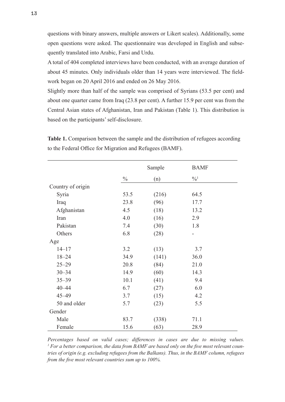questions with binary answers, multiple answers or Likert scales). Additionally, some open questions were asked. The questionnaire was developed in English and subsequently translated into Arabic, Farsi and Urdu.

A total of 404 completed interviews have been conducted, with an average duration of about 45 minutes. Only individuals older than 14 years were interviewed. The fieldwork began on 20 April 2016 and ended on 26 May 2016.

Slightly more than half of the sample was comprised of Syrians (53.5 per cent) and about one quarter came from Iraq (23.8 per cent). A further 15.9 per cent was from the Central Asian states of Afghanistan, Iran and Pakistan (Table 1). This distribution is based on the participants' self-disclosure.

|                   |               | Sample | <b>BAMF</b>                |
|-------------------|---------------|--------|----------------------------|
|                   | $\frac{0}{0}$ | (n)    | $\frac{0}{0}$ <sup>1</sup> |
| Country of origin |               |        |                            |
| Syria             | 53.5          | (216)  | 64.5                       |
| Iraq              | 23.8          | (96)   | 17.7                       |
| Afghanistan       | 4.5           | (18)   | 13.2                       |
| Iran              | 4.0           | (16)   | 2.9                        |
| Pakistan          | 7.4           | (30)   | 1.8                        |
| Others            | 6.8           | (28)   |                            |
| Age               |               |        |                            |
| $14 - 17$         | 3.2           | (13)   | 3.7                        |
| $18 - 24$         | 34.9          | (141)  | 36.0                       |
| $25 - 29$         | 20.8          | (84)   | 21.0                       |
| $30 - 34$         | 14.9          | (60)   | 14.3                       |
| $35 - 39$         | 10.1          | (41)   | 9.4                        |
| $40 - 44$         | 6.7           | (27)   | 6.0                        |
| $45 - 49$         | 3.7           | (15)   | 4.2                        |
| 50 and older      | 5.7           | (23)   | 5.5                        |
| Gender            |               |        |                            |
| Male              | 83.7          | (338)  | 71.1                       |
| Female            | 15.6          | (63)   | 28.9                       |

**Table 1.** Comparison between the sample and the distribution of refugees according to the Federal Office for Migration and Refugees (BAMF).

*Percentages based on valid cases; differences in cases are due to missing values.* <sup>1</sup> For a better comparison, the data from BAMF are based only on the five most relevant coun*tries of origin (e.g. excluding refugees from the Balkans). Thus, in the BAMF column, refugees from the five most relevant countries sum up to 100%.*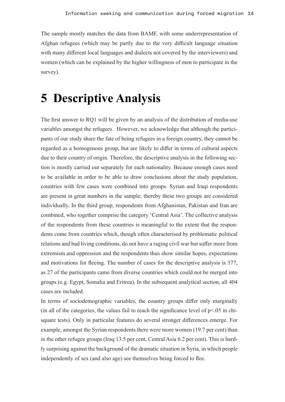The sample mostly matches the data from BAMF, with some underrepresentation of Afghan refugees (which may be partly due to the very difficult language situation with many different local languages and dialects not covered by the interviewers) and women (which can be explained by the higher willingness of men to participate in the survey).

### **5 Descriptive Analysis**

The first answer to RQ1 will be given by an analysis of the distribution of media-use variables amongst the refugees. However, we acknowledge that although the participants of our study share the fate of being refugees in a foreign country, they cannot be regarded as a homogenous group, but are likely to differ in terms of cultural aspects due to their country of origin. Therefore, the descriptive analysis in the following section is mostly carried out separately for each nationality. Because enough cases need to be available in order to be able to draw conclusions about the study population, countries with few cases were combined into groups. Syrian and Iraqi respondents are present in great numbers in the sample; thereby these two groups are considered individually. In the third group, respondents from Afghanistan, Pakistan and Iran are combined, who together comprise the category 'Central Asia'. The collective analysis of the respondents from these countries is meaningful to the extent that the respondents come from countries which, though often characterised by problematic political relations and bad living conditions, do not have a raging civil war but suffer more from extremism and oppression and the respondents thus show similar hopes, expectations and motivations for fleeing. The number of cases for the descriptive analysis is 377, as 27 of the participants came from diverse countries which could not be merged into groups (e.g. Egypt, Somalia and Eritrea). In the subsequent analytical section, all 404 cases are included.

In terms of sociodemographic variables, the country groups differ only marginally (in all of the categories, the values fail to reach the significance level of  $p<0.05$  in chisquare tests). Only in particular features do several stronger differences emerge. For example, amongst the Syrian respondents there were more women (19.7 per cent) than in the other refugee groups (Iraq 13.5 per cent, Central Asia 6.2 per cent). This is hardly surprising against the background of the dramatic situation in Syria, in which people independently of sex (and also age) see themselves being forced to flee.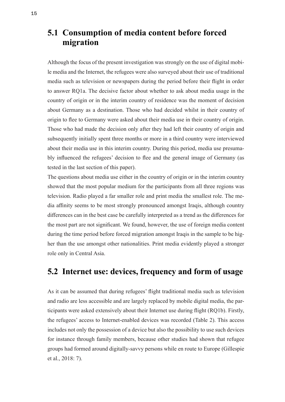#### **5.1 Consumption of media content before forced migration**

Although the focus of the present investigation was strongly on the use of digital mobile media and the Internet, the refugees were also surveyed about their use of traditional media such as television or newspapers during the period before their flight in order to answer RQ1a. The decisive factor about whether to ask about media usage in the country of origin or in the interim country of residence was the moment of decision about Germany as a destination. Those who had decided whilst in their country of origin to flee to Germany were asked about their media use in their country of origin. Those who had made the decision only after they had left their country of origin and subsequently initially spent three months or more in a third country were interviewed about their media use in this interim country. During this period, media use presumably influenced the refugees' decision to flee and the general image of Germany (as tested in the last section of this paper).

The questions about media use either in the country of origin or in the interim country showed that the most popular medium for the participants from all three regions was television. Radio played a far smaller role and print media the smallest role. The media affinity seems to be most strongly pronounced amongst Iraqis, although country differences can in the best case be carefully interpreted as a trend as the differences for the most part are not significant. We found, however, the use of foreign media content during the time period before forced migration amongst Iraqis in the sample to be higher than the use amongst other nationalities. Print media evidently played a stronger role only in Central Asia.

#### **5.2 Internet use: devices, frequency and form of usage**

As it can be assumed that during refugees' flight traditional media such as television and radio are less accessible and are largely replaced by mobile digital media, the participants were asked extensively about their Internet use during flight (RQ1b). Firstly, the refugees' access to Internet-enabled devices was recorded (Table 2). This access includes not only the possession of a device but also the possibility to use such devices for instance through family members, because other studies had shown that refugee groups had formed around digitally-savvy persons while en route to Europe (Gillespie et al., 2018: 7).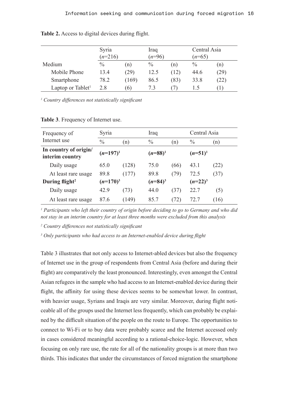|                               | Syria<br>$(n=216)$ |                   | Iraq<br>$(n=96)$ |      | Central Asia<br>$(n=65)$ |      |
|-------------------------------|--------------------|-------------------|------------------|------|--------------------------|------|
| Medium                        | $\frac{0}{0}$      | (n)               | $\frac{0}{0}$    | (n)  | $\frac{0}{0}$            | (n)  |
| Mobile Phone                  | 13.4               | (29)              | 12.5             | (12) | 44.6                     | (29) |
| Smartphone                    | 78.2               | (169)             | 86.5             | (83) | 33.8                     | (22) |
| Laptop or Tablet <sup>1</sup> | 2.8                | $\lceil 6 \rceil$ | 7.3              |      |                          |      |

Table 2. Access to digital devices during flight.

*1 Country differences not statistically significant*

| Frequency of                             | Syria         |       | Iraq          |      | Central Asia  |      |
|------------------------------------------|---------------|-------|---------------|------|---------------|------|
| Internet use                             | $\frac{0}{0}$ | (n)   | $\frac{0}{0}$ | (n)  | $\frac{0}{0}$ | (n)  |
| In country of origin/<br>interim country | $(n=197)^1$   |       | $(n=88)^1$    |      | $(n=51)^{1}$  |      |
| Daily usage                              | 65.0          | (128) | 75.0          | (66) | 43.1          | (22) |
| At least rare usage                      | 89.8          | (177) | 89.8          | (79) | 72.5          | (37) |
| During flight <sup>2</sup>               | $(n=170)^3$   |       | $(n=84)^3$    |      | $(n=22)^3$    |      |
| Daily usage                              | 42.9          | (73)  | 44.0          | (37) | 22.7          | (5)  |
| At least rare usage                      | 87.6          | (149) | 85.7          | (72) | 72.7          | (16) |

**Table 3**. Frequency of Internet use.

<sup>1</sup> Participants who left their country of origin before deciding to go to Germany and who did *not stay in an interim country for at least three months were excluded from this analysis*

*<sup>2</sup> Country differences not statistically significant*

*3 Only participants who had access to an Internet-enabled device during flight*

Table 3 illustrates that not only access to Internet-abled devices but also the frequency of Internet use in the group of respondents from Central Asia (before and during their flight) are comparatively the least pronounced. Interestingly, even amongst the Central Asian refugees in the sample who had access to an Internet-enabled device during their flight, the affinity for using these devices seems to be somewhat lower. In contrast, with heavier usage, Syrians and Iraqis are very similar. Moreover, during flight noticeable all of the groups used the Internet less frequently, which can probably be explained by the difficult situation of the people on the route to Europe. The opportunities to connect to Wi-Fi or to buy data were probably scarce and the Internet accessed only in cases considered meaningful according to a rational-choice-logic. However, when focusing on only rare use, the rate for all of the nationality groups is at more than two thirds. This indicates that under the circumstances of forced migration the smartphone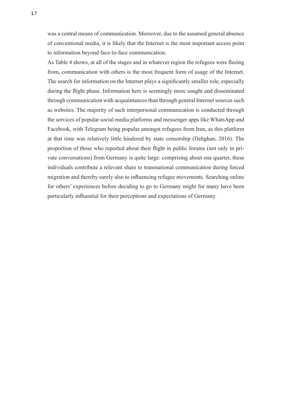was a central means of communication. Moreover, due to the assumed general absence of conventional media, it is likely that the Internet is the most important access point to information beyond face-to-face communication.

As Table 4 shows, at all of the stages and in whatever region the refugees were fleeing from, communication with others is the most frequent form of usage of the Internet. The search for information on the Internet plays a significantly smaller role, especially during the flight phase. Information here is seemingly more sought and disseminated through communication with acquaintances than through general Internet sources such as websites. The majority of such interpersonal communication is conducted through the services of popular social media platforms and messenger apps like WhatsApp and Facebook, with Telegram being popular amongst refugees from Iran, as this platform at that time was relatively little hindered by state censorship (Dehghan, 2016). The proportion of those who reported about their flight in public forums (not only in private conversations) from Germany is quite large: comprising about one quarter, these individuals contribute a relevant share to transnational communication during forced migration and thereby surely also to influencing refugee movements. Searching online for others' experiences before deciding to go to Germany might for many have been particularly influential for their perceptions and expectations of Germany.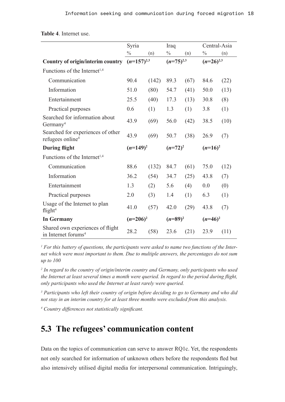|                                                                     | Syria           |       | Iraq           |      | Central-Asia   |      |
|---------------------------------------------------------------------|-----------------|-------|----------------|------|----------------|------|
|                                                                     | $\frac{0}{0}$   | (n)   | $\frac{0}{0}$  | (n)  | $\frac{0}{0}$  | (n)  |
|                                                                     | $(n=157)^{2,3}$ |       | $(n=75)^{2,3}$ |      |                |      |
| <b>Country of origin/interim country</b>                            |                 |       |                |      | $(n=26)^{2,3}$ |      |
| Functions of the Internet <sup>1,4</sup>                            |                 |       |                |      |                |      |
| Communication                                                       | 90.4            | (142) | 89.3           | (67) | 84.6           | (22) |
| Information                                                         | 51.0            | (80)  | 54.7           | (41) | 50.0           | (13) |
| Entertainment                                                       | 25.5            | (40)  | 17.3           | (13) | 30.8           | (8)  |
| Practical purposes                                                  | 0.6             | (1)   | 1.3            | (1)  | 3.8            | (1)  |
| Searched for information about<br>Germany <sup>4</sup>              | 43.9            | (69)  | 56.0           | (42) | 38.5           | (10) |
| Searched for experiences of other<br>refugees online <sup>4</sup>   | 43.9            | (69)  | 50.7           | (38) | 26.9           | (7)  |
| <b>During flight</b>                                                | $(n=149)^2$     |       | $(n=72)^2$     |      | $(n=16)^2$     |      |
| Functions of the Internet <sup>1,4</sup>                            |                 |       |                |      |                |      |
| Communication                                                       | 88.6            | (132) | 84.7           | (61) | 75.0           | (12) |
| Information                                                         | 36.2            | (54)  | 34.7           | (25) | 43.8           | (7)  |
| Entertainment                                                       | 1.3             | (2)   | 5.6            | (4)  | 0.0            | (0)  |
| Practical purposes                                                  | 2.0             | (3)   | 1.4            | (1)  | 6.3            | (1)  |
| Usage of the Internet to plan<br>flight <sup>4</sup>                | 41.0            | (57)  | 42.0           | (29) | 43.8           | (7)  |
| <b>In Germany</b>                                                   | $(n=206)^2$     |       | $(n=89)^2$     |      | $(n=46)^2$     |      |
| Shared own experiences of flight<br>in Internet forums <sup>4</sup> | 28.2            | (58)  | 23.6           | (21) | 23.9           | (11) |

**Table 4**. Internet use.

*1 For this battery of questions, the participants were asked to name two functions of the Internet which were most important to them. Due to multiple answers, the percentages do not sum up to 100*

*<sup>2</sup> In regard to the country of origin/interim country and Germany, only participants who used the Internet at least several times a month were queried. In regard to the period during flight, only participants who used the Internet at least rarely were queried.* 

*<sup>3</sup> Participants who left their country of origin before deciding to go to Germany and who did not stay in an interim country for at least three months were excluded from this analysis.*

*4 Country differences not statistically significant.* 

### **5.3 The refugees' communication content**

Data on the topics of communication can serve to answer RQ1c. Yet, the respondents not only searched for information of unknown others before the respondents fled but also intensively utilised digital media for interpersonal communication. Intriguingly,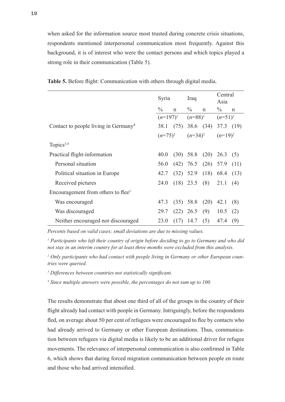when asked for the information source most trusted during concrete crisis situations, respondents mentioned interpersonal communication most frequently. Against this background, it is of interest who were the contact persons and which topics played a strong role in their communication (Table 5).

|                                                  | Syria         |             | Iraq                    |             | Central<br>Asia |              |
|--------------------------------------------------|---------------|-------------|-------------------------|-------------|-----------------|--------------|
|                                                  | $\frac{0}{0}$ | $\mathbf n$ | $\frac{0}{0}$           | $\mathbf n$ | $\frac{0}{0}$   | $\mathsf{n}$ |
|                                                  | $(n=197)^1$   |             | $(n=88)^1$              |             | $(n=51)^1$      |              |
| Contact to people living in Germany <sup>3</sup> | 38.1          | (75)        | $38.6$ (34)             |             | 37.3 $(19)$     |              |
|                                                  | $(n=75)^2$    |             | $(n=34)^2$              |             | $(n=19)^2$      |              |
| Topics <sup>3,4</sup>                            |               |             |                         |             |                 |              |
| Practical flight-information                     | 40.0          |             | $(30)$ 58.8 $(20)$ 26.3 |             |                 | (5)          |
| Personal situation                               | 56.0          |             | $(42)$ 76.5 $(26)$ 57.9 |             |                 | (11)         |
| Political situation in Europe                    | 42.7          |             | $(32)$ 52.9             | (18)        | 68.4            | (13)         |
| Received pictures                                | 24.0          |             | $(18)$ 23.5             | (8)         | 21.1            | (4)          |
| Encouragement from others to flee <sup>3</sup>   |               |             |                         |             |                 |              |
| Was encouraged                                   | 47.3          |             | $(35)$ 58.8             | (20)        | 42.1            | (8)          |
| Was discouraged                                  | 29.7          |             | $(22)$ 26.5             | (9)         | 10.5            | (2)          |
| Neither encouraged nor discouraged               | 23.0          | (17)        | 14.7                    | (5)         | 47.4            | (9)          |

**Table 5.** Before flight: Communication with others through digital media.

*Percents based on valid cases; small deviations are due to missing values.*

<sup>1</sup> Participants who left their country of origin before deciding to go to Germany and who did *not stay in an interim country for at least three months were excluded from this analysis.*

*2 Only participants who had contact with people living in Germany or other European countries were queried.* 

*3 Differences between countries not statistically significant.* 

*4 Since multiple answers were possible, the percentages do not sum up to 100.*

The results demonstrate that about one third of all of the groups in the country of their flight already had contact with people in Germany. Intriguingly, before the respondents fled, on average about 50 per cent of refugees were encouraged to flee by contacts who had already arrived to Germany or other European destinations. Thus, communication between refugees via digital media is likely to be an additional driver for refugee movements. The relevance of interpersonal communication is also confirmed in Table 6, which shows that during forced migration communication between people en route and those who had arrived intensified.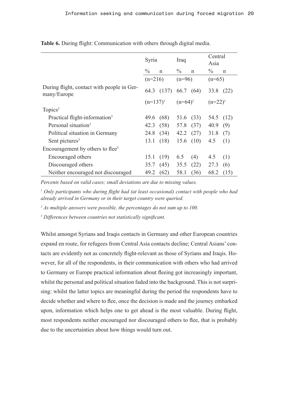|                                                           | Syria         |             | Iraq              |              | Central<br>Asia |             |
|-----------------------------------------------------------|---------------|-------------|-------------------|--------------|-----------------|-------------|
|                                                           | $\frac{0}{0}$ | $\mathbf n$ | $\%$              | $\mathsf{n}$ | $\frac{0}{0}$   | $\mathbf n$ |
|                                                           | $(n=216)$     |             | $(n=96)$          |              | $(n=65)$        |             |
| During flight, contact with people in Ger-<br>many/Europe | 64.3          | (137)       | 66.7 (64)         |              | 33.8 (22)       |             |
|                                                           | $(n=137)^{1}$ |             | $(n=64)^1$        |              | $(n=22)^{1}$    |             |
| Topics <sup>2</sup>                                       |               |             |                   |              |                 |             |
| Practical flight-information <sup>3</sup>                 | 49.6 (68)     |             | 51.6(33)          |              | 54.5            | (12)        |
| Personal situation <sup>3</sup>                           |               | 42.3 (58)   | 57.8              | (37)         | 40.9            | (9)         |
| Political situation in Germany                            | 24.8 (34)     |             | $42.2 \quad (27)$ |              | 31.8            | (7)         |
| Sent pictures <sup>3</sup>                                | 13.1          | (18)        | 15.6(10)          |              | 4.5             | (1)         |
| Encouragement by others to flee <sup>3</sup>              |               |             |                   |              |                 |             |
| Encouraged others                                         | 15.1          | (19)        | 6.5               | (4)          | 4.5             | (1)         |
| Discouraged others                                        | 35.7          | (45)        | 35.5              | (22)         | 27.3            | (6)         |
| Neither encouraged not discouraged                        | 49.2          | (62)        | 58.1              | (36)         | 68.2            | (15)        |

Table 6. During flight: Communication with others through digital media.

*Percents based on valid cases; small deviations are due to missing values.*

*1 Only participants who during flight had (at least occasional) contact with people who had already arrived in Germany or in their target country were queried.* 

*2 As multiple answers were possible, the percentages do not sum up to 100.*

*3 Differences between countries not statistically significant.* 

Whilst amongst Syrians and Iraqis contacts in Germany and other European countries expand en route, for refugees from Central Asia contacts decline; Central Asians' contacts are evidently not as concretely flight-relevant as those of Syrians and Iraqis. However, for all of the respondents, in their communication with others who had arrived to Germany or Europe practical information about fleeing got increasingly important, whilst the personal and political situation faded into the background. This is not surprising: whilst the latter topics are meaningful during the period the respondents have to decide whether and where to flee, once the decision is made and the journey embarked upon, information which helps one to get ahead is the most valuable. During flight, most respondents neither encouraged nor discouraged others to flee, that is probably due to the uncertainties about how things would turn out.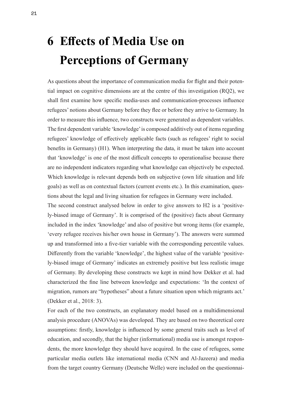# **6 Effects of Media Use on Perceptions of Germany**

As questions about the importance of communication media for flight and their potential impact on cognitive dimensions are at the centre of this investigation (RQ2), we shall first examine how specific media-uses and communication-processes influence refugees' notions about Germany before they flee or before they arrive to Germany. In order to measure this influence, two constructs were generated as dependent variables. The first dependent variable 'knowledge' is composed additively out of items regarding refugees' knowledge of effectively applicable facts (such as refugees' right to social benefits in Germany) (H1). When interpreting the data, it must be taken into account that 'knowledge' is one of the most difficult concepts to operationalise because there are no independent indicators regarding what knowledge can objectively be expected. Which knowledge is relevant depends both on subjective (own life situation and life goals) as well as on contextual factors (current events etc.). In this examination, questions about the legal and living situation for refugees in Germany were included.

The second construct analysed below in order to give answers to H2 is a 'positively-biased image of Germany'. It is comprised of the (positive) facts about Germany included in the index 'knowledge' and also of positive but wrong items (for example, 'every refugee receives his/her own house in Germany'). The answers were summed up and transformed into a five-tier variable with the corresponding percentile values. Differently from the variable 'knowledge', the highest value of the variable 'positively-biased image of Germany' indicates an extremely positive but less realistic image of Germany. By developing these constructs we kept in mind how Dekker et al. had characterized the fine line between knowledge and expectations: 'In the context of migration, rumors are "hypotheses" about a future situation upon which migrants act.' (Dekker et al., 2018: 3).

For each of the two constructs, an explanatory model based on a multidimensional analysis procedure (ANOVAs) was developed. They are based on two theoretical core assumptions: firstly, knowledge is influenced by some general traits such as level of education, and secondly, that the higher (informational) media use is amongst respondents, the more knowledge they should have acquired. In the case of refugees, some particular media outlets like international media (CNN and Al-Jazeera) and media from the target country Germany (Deutsche Welle) were included on the questionnai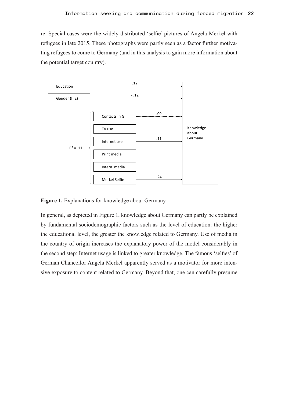re. Special cases were the widely-distributed 'selfie' pictures of Angela Merkel with refugees in late 2015. These photographs were partly seen as a factor further motivating refugees to come to Germany (and in this analysis to gain more information about the potential target country).



**Figure 1.** Explanations for knowledge about Germany.

In general, as depicted in Figure 1, knowledge about Germany can partly be explained by fundamental sociodemographic factors such as the level of education: the higher the educational level, the greater the knowledge related to Germany. Use of media in the country of origin increases the explanatory power of the model considerably in the second step: Internet usage is linked to greater knowledge. The famous 'selfies' of German Chancellor Angela Merkel apparently served as a motivator for more intensive exposure to content related to Germany. Beyond that, one can carefully presume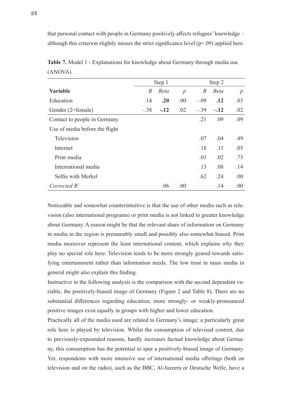that personal contact with people in Germany positively affects refugees' knowledge – although this criterion slightly misses the strict significance level  $(p=0.09)$  applied here.

|                                | Step 1<br>Step 2 |             |                |                  |             |      |
|--------------------------------|------------------|-------------|----------------|------------------|-------------|------|
| <b>Variable</b>                | B                | <b>Beta</b> | $\overline{p}$ | $\boldsymbol{B}$ | <b>Beta</b> | p    |
| Education                      | .14              | .20         | .00            | $-.09$           | .12         | .03  |
| Gender (2=female)              | $-.38$           | $-.12$      | .02            | $-.39$           | $-.12$      | .02  |
| Contact to people in Germany   |                  |             |                | .21              | .09         | .09  |
| Use of media before the flight |                  |             |                |                  |             |      |
| Television                     |                  |             |                | .07              | .04         | .49  |
| Internet                       |                  |             |                | .18              | .11         | .05  |
| Print media                    |                  |             |                | .03              | .02         | .73  |
| International media            |                  |             |                | .13              | .08         | .14  |
| Selfie with Merkel             |                  |             |                | .62              | .24         | .00  |
| Corrected $R^2$                |                  | .06         | .00            |                  | .14         | .00. |

**Table 7.** Model 1 - Explanations for knowledge about Germany through media use (ANOVA).

Noticeable and somewhat counterintuitive is that the use of other media such as television (also international programs) or print media is not linked to greater knowledge about Germany. A reason might be that the relevant share of information on Germany in media in the region is presumably small and possibly also somewhat biased. Print media moreover represent the least international content, which explains why they play no special role here. Television tends to be more strongly geared towards satisfying entertainment rather than information needs. The low trust in mass media in general might also explain this finding.

Instructive in the following analysis is the comparison with the second dependent variable, the positively-biased image of Germany (Figure 2 and Table 8). There are no substantial differences regarding education; more strongly- or weakly-pronounced positive images exist equally in groups with higher and lower education.

Practically all of the media used are related to Germany's image; a particularly great role here is played by television. Whilst the consumption of televised content, due to previously-expounded reasons, hardly increases factual knowledge about Germany, this consumption has the potential to spur a positively-biased image of Germany. Yet, respondents with more intensive use of international media offerings (both on television and on the radio), such as the BBC, Al-Jazeera or Deutsche Welle, have a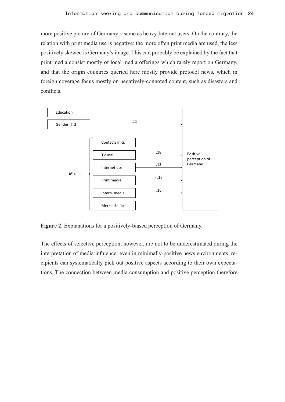more positive picture of Germany – same as heavy Internet users. On the contrary, the relation with print media use is negative: the more often print media are used, the less positively skewed is Germany's image. This can probably be explained by the fact that print media consist mostly of local media offerings which rarely report on Germany, and that the origin countries queried here mostly provide protocol news, which in foreign coverage focus mostly on negatively-connoted content, such as disasters and conflicts.



**Figure 2**. Explanations for a positively-biased perception of Germany.

The effects of selective perception, however, are not to be underestimated during the interpretation of media influence: even in minimally-positive news environments, recipients can systematically pick out positive aspects according to their own expectations. The connection between media consumption and positive perception therefore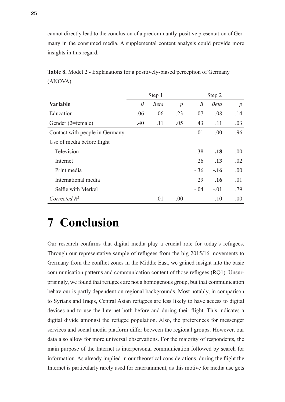cannot directly lead to the conclusion of a predominantly-positive presentation of Germany in the consumed media. A supplemental content analysis could provide more insights in this regard.

|                                | Step 1 |             |                  |                  |             |                  |
|--------------------------------|--------|-------------|------------------|------------------|-------------|------------------|
| <b>Variable</b>                | B      | <b>Beta</b> | $\boldsymbol{p}$ | $\boldsymbol{B}$ | <b>Beta</b> | $\boldsymbol{p}$ |
| Education                      | $-.06$ | $-.06$      | .23              | $-.07$           | $-.08$      | .14              |
| Gender (2=female)              | .40    | .11         | .05              | .43              | .11         | .03              |
| Contact with people in Germany |        |             |                  | $-.01$           | .00         | .96              |
| Use of media before flight     |        |             |                  |                  |             |                  |
| Television                     |        |             |                  | .38              | .18         | .00.             |
| Internet                       |        |             |                  | .26              | .13         | .02              |
| Print media                    |        |             |                  | $-.36$           | $-.16$      | .00              |
| International media            |        |             |                  | .29              | .16         | .01              |
| Selfie with Merkel             |        |             |                  | $-.04$           | $-.01$      | .79              |
| Corrected $R^2$                |        | .01         | .00.             |                  | .10         | .00              |

**Table 8.** Model 2 - Explanations for a positively-biased perception of Germany (ANOVA).

## **7 Conclusion**

Our research confirms that digital media play a crucial role for today's refugees. Through our representative sample of refugees from the big 2015/16 movements to Germany from the conflict zones in the Middle East, we gained insight into the basic communication patterns and communication content of those refugees (RQ1). Unsurprisingly, we found that refugees are not a homogenous group, but that communication behaviour is partly dependent on regional backgrounds. Most notably, in comparison to Syrians and Iraqis, Central Asian refugees are less likely to have access to digital devices and to use the Internet both before and during their flight. This indicates a digital divide amongst the refugee population. Also, the preferences for messenger services and social media platform differ between the regional groups. However, our data also allow for more universal observations. For the majority of respondents, the main purpose of the Internet is interpersonal communication followed by search for information. As already implied in our theoretical considerations, during the flight the Internet is particularly rarely used for entertainment, as this motive for media use gets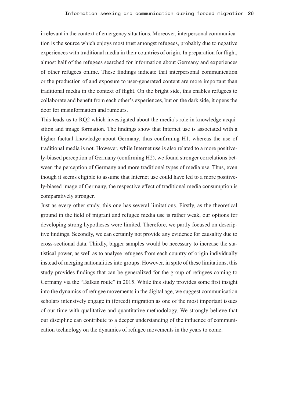irrelevant in the context of emergency situations. Moreover, interpersonal communication is the source which enjoys most trust amongst refugees, probably due to negative experiences with traditional media in their countries of origin. In preparation for flight, almost half of the refugees searched for information about Germany and experiences of other refugees online. These findings indicate that interpersonal communication or the production of and exposure to user-generated content are more important than traditional media in the context of flight. On the bright side, this enables refugees to collaborate and benefit from each other's experiences, but on the dark side, it opens the door for misinformation and rumours.

This leads us to RQ2 which investigated about the media's role in knowledge acquisition and image formation. The findings show that Internet use is associated with a higher factual knowledge about Germany, thus confirming H1, whereas the use of traditional media is not. However, while Internet use is also related to a more positively-biased perception of Germany (confirming H2), we found stronger correlations between the perception of Germany and more traditional types of media use. Thus, even though it seems eligible to assume that Internet use could have led to a more positively-biased image of Germany, the respective effect of traditional media consumption is comparatively stronger.

Just as every other study, this one has several limitations. Firstly, as the theoretical ground in the field of migrant and refugee media use is rather weak, our options for developing strong hypotheses were limited. Therefore, we partly focused on descriptive findings. Secondly, we can certainly not provide any evidence for causality due to cross-sectional data. Thirdly, bigger samples would be necessary to increase the statistical power, as well as to analyse refugees from each country of origin individually instead of merging nationalities into groups. However, in spite of these limitations, this study provides findings that can be generalized for the group of refugees coming to Germany via the "Balkan route" in 2015. While this study provides some first insight into the dynamics of refugee movements in the digital age, we suggest communication scholars intensively engage in (forced) migration as one of the most important issues of our time with qualitative and quantitative methodology. We strongly believe that our discipline can contribute to a deeper understanding of the influence of communication technology on the dynamics of refugee movements in the years to come.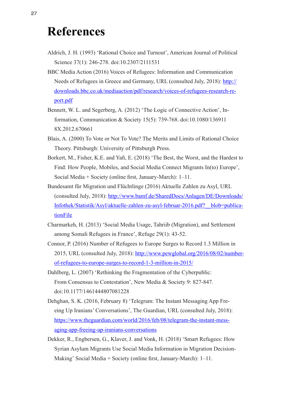### **References**

- Aldrich, J. H. (1993) 'Rational Choice and Turnout', American Journal of Political Science 37(1): 246-278. doi:10.2307/2111531
- BBC Media Action (2016) Voices of Refugees: Information and Communication Needs of Refugees in Greece and Germany, URL (consulted July, 2018): [http://](http://downloads.bbc.co.uk/mediaaction/pdf/research/voices-of-refugees-research-report.pdf) [downloads.bbc.co.uk/mediaaction/pdf/research/voices-of-refugees-research-re](http://downloads.bbc.co.uk/mediaaction/pdf/research/voices-of-refugees-research-report.pdf)[port.pdf](http://downloads.bbc.co.uk/mediaaction/pdf/research/voices-of-refugees-research-report.pdf)
- Bennett, W. L. and Segerberg, A. (2012) 'The Logic of Connective Action', Information, Communication & Society 15(5): 739-768. doi:10.1080/136911 8X.2012.670661
- Blais, A. (2000) To Vote or Not To Vote? The Merits and Limits of Rational Choice Theory. Pittsburgh: University of Pittsburgh Press.
- Borkert, M., Fisher, K.E. and Yafi, E. (2018) 'The Best, the Worst, and the Hardest to Find: How People, Mobiles, and Social Media Connect Migrants In(to) Europe', Social Media + Society (online first, January-March): 1–11.
- Bundesamt für Migration und Flüchtlinge (2016) Aktuelle Zahlen zu Asyl, URL (consulted July, 2018): [http://www.bamf.de/SharedDocs/Anlagen/DE/Downloads/](http://www.bamf.de/SharedDocs/Anlagen/DE/Downloads/Infothek/Statistik/Asyl/aktuelle-zahlen-zu-asyl-februar-2016.pdf?__blob=publicationFile) [Infothek/Statistik/Asyl/aktuelle-zahlen-zu-asyl-februar-2016.pdf?\\_\\_blob=publica](http://www.bamf.de/SharedDocs/Anlagen/DE/Downloads/Infothek/Statistik/Asyl/aktuelle-zahlen-zu-asyl-februar-2016.pdf?__blob=publicationFile)[tionFile](http://www.bamf.de/SharedDocs/Anlagen/DE/Downloads/Infothek/Statistik/Asyl/aktuelle-zahlen-zu-asyl-februar-2016.pdf?__blob=publicationFile)
- Charmarkeh, H. (2013) 'Social Media Usage, Tahriib (Migration), and Settlement among Somali Refugees in France', Refuge 29(1): 43-52.
- Connor, P. (2016) Number of Refugees to Europe Surges to Record 1.3 Million in 2015, URL (consulted July, 2018): [http://www.pewglobal.org/2016/08/02/number](http://www.pewglobal.org/2016/08/02/number-of-refugees-to-europe-surges-to-record-1-3-million-in-2015/)[of-refugees-to-europe-surges-to-record-1-3-million-in-2015/](http://www.pewglobal.org/2016/08/02/number-of-refugees-to-europe-surges-to-record-1-3-million-in-2015/)
- Dahlberg, L. (2007) 'Rethinking the Fragmentation of the Cyberpublic: From Consensus to Contestation', New Media & Society 9: 827-847. doi:10.1177/1461444807081228
- Dehghan, S. K. (2016, February 8) 'Telegram: The Instant Messaging App Freeing Up Iranians' Conversations', The Guardian, URL (consulted July, 2018): [https://www.theguardian.com/world/2016/feb/08/telegram-the-instant-mess](https://www.theguardian.com/world/2016/feb/08/telegram-the-instant-messaging-app-freeing-up-iranians-conversations)[aging-app-freeing-up-iranians-conversations](https://www.theguardian.com/world/2016/feb/08/telegram-the-instant-messaging-app-freeing-up-iranians-conversations)
- Dekker, R., Engbersen, G., Klaver, J. and Vonk, H. (2018) 'Smart Refugees: How Syrian Asylum Migrants Use Social Media Information in Migration Decision-Making' Social Media + Society (online first, January-March): 1–11.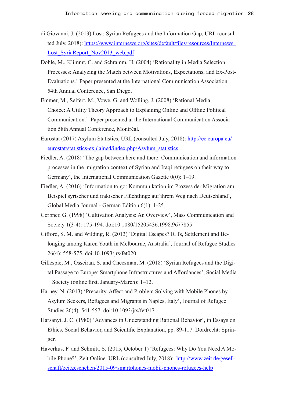- di Giovanni, J. (2013) Lost: Syrian Refugees and the Information Gap, URL (consulted July, 2018): [https://www.internews.org/sites/default/files/resources/Internews\\_](https://www.internews.org/sites/default/files/resources/Internews_Lost_SyriaReport_Nov2013_web.pdf) Lost SyriaReport Nov2013 web.pdf
- Dohle, M., Klimmt, C. and Schramm, H. (2004) 'Rationality in Media Selection Processes: Analyzing the Match between Motivations, Expectations, and Ex-Post-Evaluations.' Paper presented at the International Communication Association 54th Annual Conference, San Diego.
- Emmer, M., Seifert, M., Vowe, G. and Wolling, J. (2008) 'Rational Media Choice: A Utility Theory Approach to Explaining Online and Offline Political Communication.' Paper presented at the International Communication Association 58th Annual Conference, Montréal.
- Eurostat (2017) Asylum Statistics, URL (consulted July, 2018): [http://ec.europa.eu/](http://ec.europa.eu/eurostat/statistics-explained/index.php/Asylum_statistics) [eurostat/statistics-explained/index.php/Asylum\\_statistics](http://ec.europa.eu/eurostat/statistics-explained/index.php/Asylum_statistics)
- Fiedler, A. (2018) 'The gap between here and there: Communication and information processes in the migration context of Syrian and Iraqi refugees on their way to Germany', the International Communication Gazette 0(0): 1–19.
- Fiedler, A. (2016) 'Information to go: Kommunikation im Prozess der Migration am Beispiel syrischer und irakischer Flüchtlinge auf ihrem Weg nach Deutschland', Global Media Journal - German Edition 6(1): 1-25.
- Gerbner, G. (1998) 'Cultivation Analysis: An Overview', Mass Communication and Society 1(3-4): 175-194. doi:10.1080/15205436.1998.9677855
- Gifford, S. M. and Wilding, R. (2013) 'Digital Escapes? ICTs, Settlement and Belonging among Karen Youth in Melbourne, Australia', Journal of Refugee Studies 26(4): 558-575. doi:10.1093/jrs/fet020
- Gillespie, M., Osseiran, S. and Cheesman, M. (2018) 'Syrian Refugees and the Digital Passage to Europe: Smartphone Infrastructures and Affordances', Social Media + Society (online first, January-March): 1–12.
- Harney, N. (2013) 'Precarity, Affect and Problem Solving with Mobile Phones by Asylum Seekers, Refugees and Migrants in Naples, Italy', Journal of Refugee Studies 26(4): 541-557. doi:10.1093/jrs/fet017
- Harsanyi, J. C. (1980) 'Advances in Understanding Rational Behavior', in Essays on Ethics, Social Behavior, and Scientific Explanation, pp. 89-117. Dordrecht: Springer.
- Haverkus, F. and Schmitt, S. (2015, October 1) 'Refugees: Why Do You Need A Mobile Phone?', Zeit Online. URL (consulted July, 2018): [http://www.zeit.de/gesell](http://www.zeit.de/gesellschaft/zeitgeschehen/2015-09/smartphones-mobil-phones-refugees-help)[schaft/zeitgeschehen/2015-09/smartphones-mobil-phones-refugees-help](http://www.zeit.de/gesellschaft/zeitgeschehen/2015-09/smartphones-mobil-phones-refugees-help)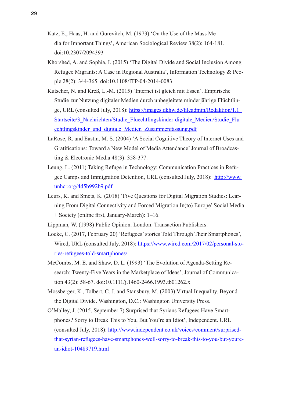- Katz, E., Haas, H. and Gurevitch, M. (1973) 'On the Use of the Mass Media for Important Things', American Sociological Review 38(2): 164-181. doi:10.2307/2094393
- Khorshed, A. and Sophia, I. (2015) 'The Digital Divide and Social Inclusion Among Refugee Migrants: A Case in Regional Australia', Information Technology & People 28(2): 344-365. doi:10.1108/ITP-04-2014-0083
- Kutscher, N. and Kreß, L.-M. (2015) 'Internet ist gleich mit Essen'. Empirische Studie zur Nutzung digitaler Medien durch unbegleitete minderjährige Flüchtlinge, URL (consulted July, 2018): [https://images.dkhw.de/fileadmin/Redaktion/1.1\\_](https://images.dkhw.de/fileadmin/Redaktion/1.1_Startseite/3_Nachrichten/Studie_Fluechtlingskinder-digitale_Medien/Studie_Fluechtlingskinder_und_digitale_Medien_Zusammenfassung.pdf) [Startseite/3\\_Nachrichten/Studie\\_Fluechtlingskinder-digitale\\_Medien/Studie\\_Flu](https://images.dkhw.de/fileadmin/Redaktion/1.1_Startseite/3_Nachrichten/Studie_Fluechtlingskinder-digitale_Medien/Studie_Fluechtlingskinder_und_digitale_Medien_Zusammenfassung.pdf)[echtlingskinder\\_und\\_digitale\\_Medien\\_Zusammenfassung.pdf](https://images.dkhw.de/fileadmin/Redaktion/1.1_Startseite/3_Nachrichten/Studie_Fluechtlingskinder-digitale_Medien/Studie_Fluechtlingskinder_und_digitale_Medien_Zusammenfassung.pdf)
- LaRose, R. and Eastin, M. S. (2004) 'A Social Cognitive Theory of Internet Uses and Gratifications: Toward a New Model of Media Attendance' Journal of Broadcasting & Electronic Media 48(3): 358-377.
- Leung, L. (2011) Taking Refuge in Technology: Communication Practices in Refugee Camps and Immigration Detention, URL (consulted July, 2018): [http://www.](http://www.unhcr.org/4d5b992b9.pdf) [unhcr.org/4d5b992b9.pdf](http://www.unhcr.org/4d5b992b9.pdf)
- Leurs, K. and Smets, K. (2018) 'Five Questions for Digital Migration Studies: Learning From Digital Connectivity and Forced Migration In(to) Europe' Social Media + Society (online first, January-March): 1–16.
- Lippman, W. (1998) Public Opinion. London: Transaction Publishers.
- Locke, C. (2017, February 20) 'Refugees' stories Told Through Their Smartphones', Wired, URL (consulted July, 2018): [https://www.wired.com/2017/02/personal-sto](https://www.wired.com/2017/02/personal-stories-refugees-told-smartphones/)[ries-refugees-told-smartphones/](https://www.wired.com/2017/02/personal-stories-refugees-told-smartphones/)
- McCombs, M. E. and Shaw, D. L. (1993) 'The Evolution of Agenda-Setting Research: Twenty-Five Years in the Marketplace of Ideas', Journal of Communication 43(2): 58-67. doi:10.1111/j.1460-2466.1993.tb01262.x
- Mossberger, K., Tolbert, C. J. and Stansbury, M. (2003) Virtual Inequality. Beyond the Digital Divide. Washington, D.C.: Washington University Press.
- O'Malley, J. (2015, September 7) Surprised that Syrians Refugees Have Smartphones? Sorry to Break This to You, But You're an Idiot', Independent. URL (consulted July, 2018): [http://www.independent.co.uk/voices/comment/surprised](http://www.independent.co.uk/voices/comment/surprised-that-syrian-refugees-have-smartphones-well-sorry-to-break-this-to-you-but-youre-an-idiot-10489719.html)[that-syrian-refugees-have-smartphones-well-sorry-to-break-this-to-you-but-youre](http://www.independent.co.uk/voices/comment/surprised-that-syrian-refugees-have-smartphones-well-sorry-to-break-this-to-you-but-youre-an-idiot-10489719.html)[an-idiot-10489719.html](http://www.independent.co.uk/voices/comment/surprised-that-syrian-refugees-have-smartphones-well-sorry-to-break-this-to-you-but-youre-an-idiot-10489719.html)